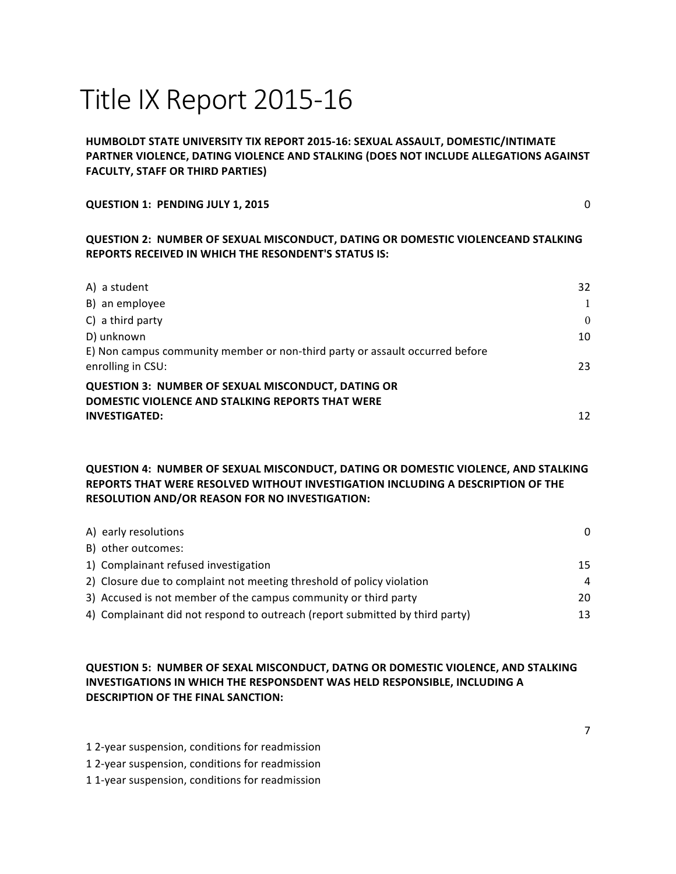# Title IX Report 2015-16

## **HUMBOLDT STATE UNIVERSITY TIX REPORT 2015-16: SEXUAL ASSAULT, DOMESTIC/INTIMATE PARTNER VIOLENCE, DATING VIOLENCE AND STALKING (DOES NOT INCLUDE ALLEGATIONS AGAINST FACULTY, STAFF OR THIRD PARTIES)**

#### **QUESTION 1: PENDING JULY 1, 2015** 0

### **QUESTION 2: NUMBER OF SEXUAL MISCONDUCT, DATING OR DOMESTIC VIOLENCEAND STALKING REPORTS RECEIVED IN WHICH THE RESONDENT'S STATUS IS:**

| A) a student                                                                 | 32           |
|------------------------------------------------------------------------------|--------------|
| B) an employee                                                               | $\mathbf{1}$ |
| $C$ ) a third party                                                          | $\Omega$     |
| D) unknown                                                                   | 10           |
| E) Non campus community member or non-third party or assault occurred before |              |
| enrolling in CSU:                                                            | 23           |
| <b>QUESTION 3: NUMBER OF SEXUAL MISCONDUCT, DATING OR</b>                    |              |
| DOMESTIC VIOLENCE AND STALKING REPORTS THAT WERE                             |              |
| <b>INVESTIGATED:</b>                                                         | 12           |

## **QUESTION 4: NUMBER OF SEXUAL MISCONDUCT, DATING OR DOMESTIC VIOLENCE, AND STALKING REPORTS THAT WERE RESOLVED WITHOUT INVESTIGATION INCLUDING A DESCRIPTION OF THE RESOLUTION AND/OR REASON FOR NO INVESTIGATION:**

| A) early resolutions                                                         | $\Omega$ |
|------------------------------------------------------------------------------|----------|
| B) other outcomes:                                                           |          |
| 1) Complainant refused investigation                                         | 15       |
| 2) Closure due to complaint not meeting threshold of policy violation        | 4        |
| 3) Accused is not member of the campus community or third party              | 20       |
| 4) Complainant did not respond to outreach (report submitted by third party) | 13       |

## **QUESTION 5: NUMBER OF SEXAL MISCONDUCT, DATNG OR DOMESTIC VIOLENCE, AND STALKING INVESTIGATIONS IN WHICH THE RESPONSDENT WAS HELD RESPONSIBLE, INCLUDING A DESCRIPTION OF THE FINAL SANCTION:**

- 1 2-year suspension, conditions for readmission
- 1 2-year suspension, conditions for readmission
- 1 1-year suspension, conditions for readmission